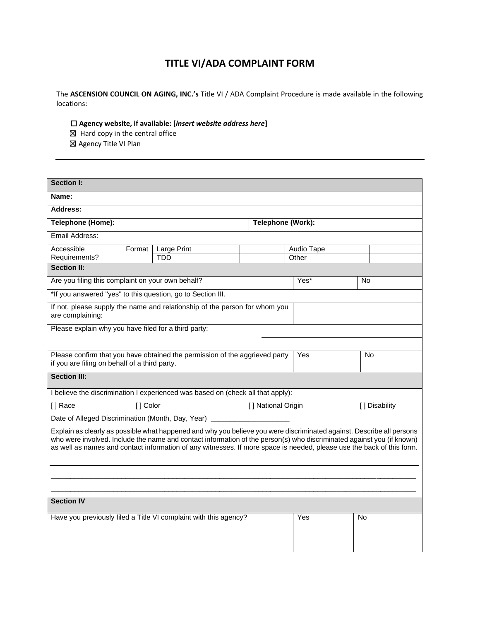## **TITLE VI/ADA COMPLAINT FORM**

The **ASCENSION COUNCIL ON AGING, INC.'s** Title VI / ADA Complaint Procedure is made available in the following locations:

- ☐ **Agency website, if available: [***insert website address here***]**
- ☒Hard copy in the central office
- ☒ Agency Title VI Plan

| <b>Section I:</b>                                                                                                                                                                                                                                                                                                                                                       |             |                    |            |    |               |
|-------------------------------------------------------------------------------------------------------------------------------------------------------------------------------------------------------------------------------------------------------------------------------------------------------------------------------------------------------------------------|-------------|--------------------|------------|----|---------------|
| Name:                                                                                                                                                                                                                                                                                                                                                                   |             |                    |            |    |               |
| <b>Address:</b>                                                                                                                                                                                                                                                                                                                                                         |             |                    |            |    |               |
| Telephone (Home):                                                                                                                                                                                                                                                                                                                                                       |             | Telephone (Work):  |            |    |               |
| Email Address:                                                                                                                                                                                                                                                                                                                                                          |             |                    |            |    |               |
| Accessible<br>Format                                                                                                                                                                                                                                                                                                                                                    | Large Print |                    | Audio Tape |    |               |
| Requirements?                                                                                                                                                                                                                                                                                                                                                           | <b>TDD</b>  |                    | Other      |    |               |
| <b>Section II:</b>                                                                                                                                                                                                                                                                                                                                                      |             |                    |            |    |               |
| Are you filing this complaint on your own behalf?                                                                                                                                                                                                                                                                                                                       |             | Yes*               | <b>No</b>  |    |               |
| *If you answered "yes" to this question, go to Section III.                                                                                                                                                                                                                                                                                                             |             |                    |            |    |               |
| If not, please supply the name and relationship of the person for whom you<br>are complaining:                                                                                                                                                                                                                                                                          |             |                    |            |    |               |
| Please explain why you have filed for a third party:                                                                                                                                                                                                                                                                                                                    |             |                    |            |    |               |
|                                                                                                                                                                                                                                                                                                                                                                         |             |                    |            |    |               |
| Please confirm that you have obtained the permission of the aggrieved party<br>Yes                                                                                                                                                                                                                                                                                      |             |                    |            | No |               |
| if you are filing on behalf of a third party.                                                                                                                                                                                                                                                                                                                           |             |                    |            |    |               |
| <b>Section III:</b>                                                                                                                                                                                                                                                                                                                                                     |             |                    |            |    |               |
| I believe the discrimination I experienced was based on (check all that apply):                                                                                                                                                                                                                                                                                         |             |                    |            |    |               |
| [] Color<br>[] Race                                                                                                                                                                                                                                                                                                                                                     |             | [] National Origin |            |    | [] Disability |
| Date of Alleged Discrimination (Month, Day, Year)                                                                                                                                                                                                                                                                                                                       |             |                    |            |    |               |
| Explain as clearly as possible what happened and why you believe you were discriminated against. Describe all persons<br>who were involved. Include the name and contact information of the person(s) who discriminated against you (if known)<br>as well as names and contact information of any witnesses. If more space is needed, please use the back of this form. |             |                    |            |    |               |
|                                                                                                                                                                                                                                                                                                                                                                         |             |                    |            |    |               |
|                                                                                                                                                                                                                                                                                                                                                                         |             |                    |            |    |               |
| <b>Section IV</b>                                                                                                                                                                                                                                                                                                                                                       |             |                    |            |    |               |
|                                                                                                                                                                                                                                                                                                                                                                         |             |                    |            |    |               |
| Have you previously filed a Title VI complaint with this agency?                                                                                                                                                                                                                                                                                                        |             |                    | Yes        | No |               |
|                                                                                                                                                                                                                                                                                                                                                                         |             |                    |            |    |               |
|                                                                                                                                                                                                                                                                                                                                                                         |             |                    |            |    |               |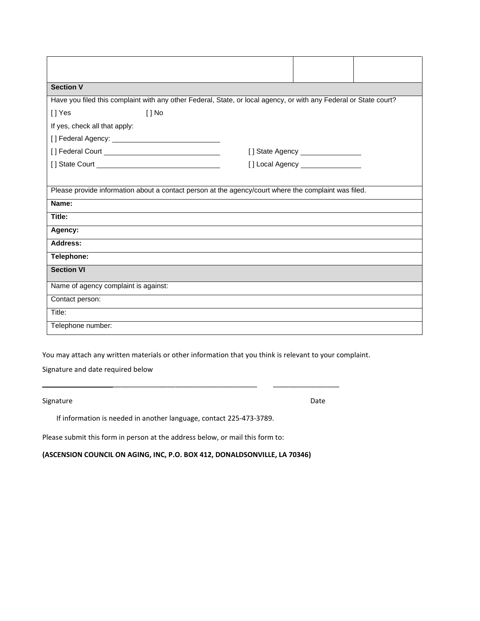| <b>Section V</b>                                                                                                  |                                   |  |
|-------------------------------------------------------------------------------------------------------------------|-----------------------------------|--|
| Have you filed this complaint with any other Federal, State, or local agency, or with any Federal or State court? |                                   |  |
| [] Yes<br>$[ ]$ No                                                                                                |                                   |  |
| If yes, check all that apply:                                                                                     |                                   |  |
|                                                                                                                   |                                   |  |
|                                                                                                                   | [] State Agency _________________ |  |
|                                                                                                                   | [] Local Agency _________________ |  |
| Please provide information about a contact person at the agency/court where the complaint was filed.<br>Name:     |                                   |  |
| Title:                                                                                                            |                                   |  |
| Agency:                                                                                                           |                                   |  |
| Address:                                                                                                          |                                   |  |
| Telephone:                                                                                                        |                                   |  |
| <b>Section VI</b>                                                                                                 |                                   |  |
| Name of agency complaint is against:                                                                              |                                   |  |
| Contact person:                                                                                                   |                                   |  |
| Title:                                                                                                            |                                   |  |
| Telephone number:                                                                                                 |                                   |  |

You may attach any written materials or other information that you think is relevant to your complaint.

\_\_\_\_\_\_\_\_\_\_\_\_\_\_\_\_\_\_\_\_\_\_\_\_\_\_\_\_\_\_\_\_\_\_\_\_\_ \_\_\_\_\_\_\_\_\_\_\_\_\_\_\_\_\_

Signature and date required below

Signature Date Date Communications and the Date Date Date Date Date

If information is needed in another language, contact 225-473-3789.

Please submit this form in person at the address below, or mail this form to:

**(ASCENSION COUNCIL ON AGING, INC, P.O. BOX 412, DONALDSONVILLE, LA 70346)**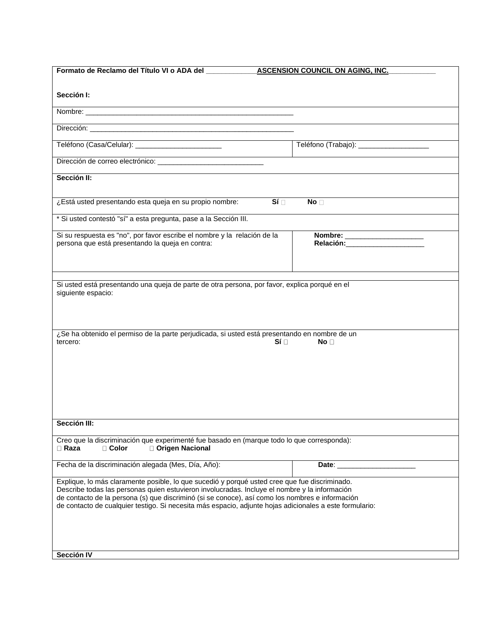| Formato de Reclamo del Título VI o ADA del<br><b>ASCENSION COUNCIL ON AGING, INC.</b>                                                                                                          |                                          |  |  |  |  |
|------------------------------------------------------------------------------------------------------------------------------------------------------------------------------------------------|------------------------------------------|--|--|--|--|
|                                                                                                                                                                                                |                                          |  |  |  |  |
| Sección I:                                                                                                                                                                                     |                                          |  |  |  |  |
|                                                                                                                                                                                                |                                          |  |  |  |  |
|                                                                                                                                                                                                |                                          |  |  |  |  |
|                                                                                                                                                                                                |                                          |  |  |  |  |
|                                                                                                                                                                                                |                                          |  |  |  |  |
| Teléfono (Casa/Celular): __________________________                                                                                                                                            | Teléfono (Trabajo): ____________________ |  |  |  |  |
|                                                                                                                                                                                                |                                          |  |  |  |  |
|                                                                                                                                                                                                |                                          |  |  |  |  |
| Sección II:                                                                                                                                                                                    |                                          |  |  |  |  |
|                                                                                                                                                                                                |                                          |  |  |  |  |
|                                                                                                                                                                                                |                                          |  |  |  |  |
| ¿Está usted presentando esta queja en su propio nombre:<br>Si <sub>1</sub>                                                                                                                     | No <sub>1</sub>                          |  |  |  |  |
| * Si usted contestó "sí" a esta pregunta, pase a la Sección III.                                                                                                                               |                                          |  |  |  |  |
|                                                                                                                                                                                                |                                          |  |  |  |  |
| Si su respuesta es "no", por favor escribe el nombre y la relación de la                                                                                                                       | Nombre: ______________________           |  |  |  |  |
| persona que está presentando la queja en contra:                                                                                                                                               | Relación:______________________          |  |  |  |  |
|                                                                                                                                                                                                |                                          |  |  |  |  |
|                                                                                                                                                                                                |                                          |  |  |  |  |
|                                                                                                                                                                                                |                                          |  |  |  |  |
| Si usted está presentando una queja de parte de otra persona, por favor, explica porqué en el                                                                                                  |                                          |  |  |  |  |
| siguiente espacio:                                                                                                                                                                             |                                          |  |  |  |  |
|                                                                                                                                                                                                |                                          |  |  |  |  |
|                                                                                                                                                                                                |                                          |  |  |  |  |
|                                                                                                                                                                                                |                                          |  |  |  |  |
| ¿Se ha obtenido el permiso de la parte perjudicada, si usted está presentando en nombre de un                                                                                                  |                                          |  |  |  |  |
| Sí ⊟<br>tercero:                                                                                                                                                                               | No <sub>1</sub>                          |  |  |  |  |
|                                                                                                                                                                                                |                                          |  |  |  |  |
|                                                                                                                                                                                                |                                          |  |  |  |  |
|                                                                                                                                                                                                |                                          |  |  |  |  |
|                                                                                                                                                                                                |                                          |  |  |  |  |
|                                                                                                                                                                                                |                                          |  |  |  |  |
|                                                                                                                                                                                                |                                          |  |  |  |  |
|                                                                                                                                                                                                |                                          |  |  |  |  |
| Sección III:                                                                                                                                                                                   |                                          |  |  |  |  |
| Creo que la discriminación que experimenté fue basado en (marque todo lo que corresponda):                                                                                                     |                                          |  |  |  |  |
| □ Color<br>□ Origen Nacional<br>$\Box$ Raza                                                                                                                                                    |                                          |  |  |  |  |
|                                                                                                                                                                                                |                                          |  |  |  |  |
| Fecha de la discriminación alegada (Mes, Día, Año):                                                                                                                                            | Date:                                    |  |  |  |  |
|                                                                                                                                                                                                |                                          |  |  |  |  |
| Explique, lo más claramente posible, lo que sucedió y porqué usted cree que fue discriminado.<br>Describe todas las personas quien estuvieron involucradas. Incluye el nombre y la información |                                          |  |  |  |  |
| de contacto de la persona (s) que discriminó (si se conoce), así como los nombres e información                                                                                                |                                          |  |  |  |  |
| de contacto de cualquier testigo. Si necesita más espacio, adjunte hojas adicionales a este formulario:                                                                                        |                                          |  |  |  |  |
|                                                                                                                                                                                                |                                          |  |  |  |  |
|                                                                                                                                                                                                |                                          |  |  |  |  |
|                                                                                                                                                                                                |                                          |  |  |  |  |
|                                                                                                                                                                                                |                                          |  |  |  |  |
| Sección IV                                                                                                                                                                                     |                                          |  |  |  |  |